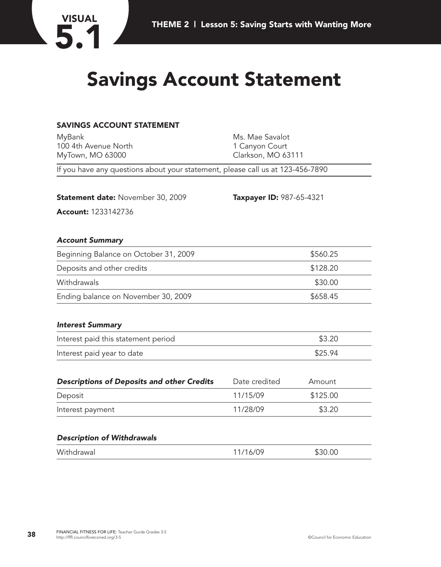

## **Savings Account Statement**

### **SAVINGS ACCOUNT STATEMENT**

| MyBank                                                                         | Ms. Mae Savalot          |          |  |  |  |
|--------------------------------------------------------------------------------|--------------------------|----------|--|--|--|
| 100 4th Avenue North                                                           | 1 Canyon Court           |          |  |  |  |
| MyTown, MO 63000                                                               | Clarkson, MO 63111       |          |  |  |  |
| If you have any questions about your statement, please call us at 123-456-7890 |                          |          |  |  |  |
|                                                                                |                          |          |  |  |  |
| <b>Statement date: November 30, 2009</b>                                       | Taxpayer ID: 987-65-4321 |          |  |  |  |
| Account: 1233142736                                                            |                          |          |  |  |  |
| <b>Account Summary</b>                                                         |                          |          |  |  |  |
| Beginning Balance on October 31, 2009                                          |                          | \$560.25 |  |  |  |
| Deposits and other credits                                                     |                          | \$128.20 |  |  |  |
| Withdrawals                                                                    |                          | \$30.00  |  |  |  |
| Ending balance on November 30, 2009                                            |                          | \$658.45 |  |  |  |
| <b>Interest Summary</b>                                                        |                          |          |  |  |  |
| Interest paid this statement period                                            | \$3.20                   |          |  |  |  |
| Interest paid year to date                                                     |                          | \$25.94  |  |  |  |
| <b>Descriptions of Deposits and other Credits</b>                              | Date credited            | Amount   |  |  |  |
| Deposit                                                                        | 11/15/09                 | \$125.00 |  |  |  |
| Interest payment                                                               | 11/28/09                 | \$3.20   |  |  |  |
|                                                                                |                          |          |  |  |  |

#### *Description of Withdrawals*

| Withdrawal | 11/16/09 | \$30.00 |
|------------|----------|---------|
|            |          |         |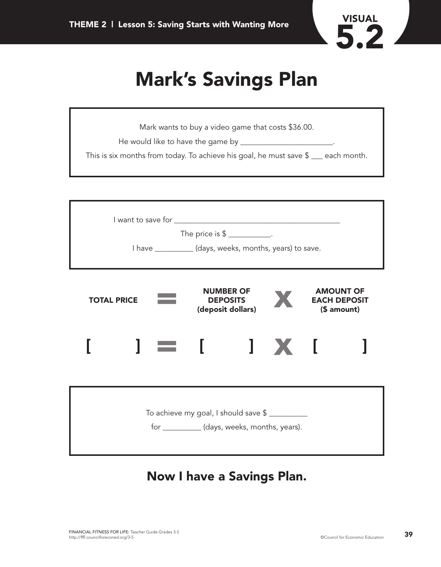

# **Mark's Savings Plan**

| Mark wants to buy a video game that costs \$36.00.                                         |
|--------------------------------------------------------------------------------------------|
| He would like to have the game by _____                                                    |
| This is six months from today. To achieve his goal, he must save $\frac{1}{2}$ each month. |
|                                                                                            |

| The price is $\frac{1}{2}$ ____________.<br>I have ___________(days, weeks, months, years) to save.                                      |  |  |  |  |                |  |  |
|------------------------------------------------------------------------------------------------------------------------------------------|--|--|--|--|----------------|--|--|
| <b>NUMBER OF</b><br><b>AMOUNT OF</b><br><b>TOTAL PRICE</b><br><b>DEPOSITS</b><br><b>EACH DEPOSIT</b><br>(\$ amount)<br>(deposit dollars) |  |  |  |  |                |  |  |
|                                                                                                                                          |  |  |  |  | $\mathbf{X}$ i |  |  |
| To achieve my goal, I should save \$<br>for ___________(days, weeks, months, years).                                                     |  |  |  |  |                |  |  |

### **Now I have a Savings Plan.**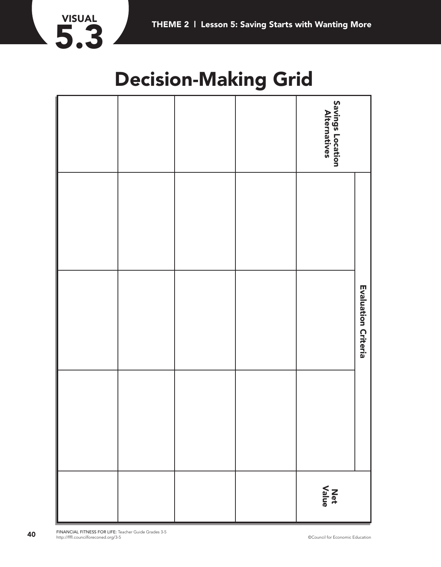

## **Decision-Making Grid**

|  |  | <b>Savings Location<br/>Alternatives</b> |
|--|--|------------------------------------------|
|  |  |                                          |
|  |  | Evaluation Criteria                      |
|  |  |                                          |
|  |  | Net<br>Value                             |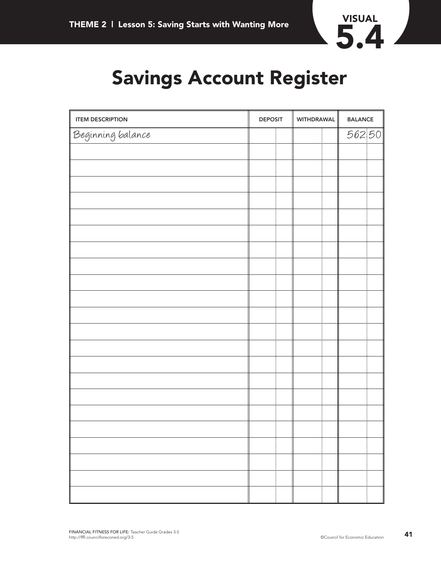

# **Savings Account Register**

| <b>ITEM DESCRIPTION</b> | <b>DEPOSIT</b> | WITHDRAWAL | <b>BALANCE</b> |  |
|-------------------------|----------------|------------|----------------|--|
| Beginning balance       |                |            | 562 50         |  |
|                         |                |            |                |  |
|                         |                |            |                |  |
|                         |                |            |                |  |
|                         |                |            |                |  |
|                         |                |            |                |  |
|                         |                |            |                |  |
|                         |                |            |                |  |
|                         |                |            |                |  |
|                         |                |            |                |  |
|                         |                |            |                |  |
|                         |                |            |                |  |
|                         |                |            |                |  |
|                         |                |            |                |  |
|                         |                |            |                |  |
|                         |                |            |                |  |
|                         |                |            |                |  |
|                         |                |            |                |  |
|                         |                |            |                |  |
|                         |                |            |                |  |
|                         |                |            |                |  |
|                         |                |            |                |  |
|                         |                |            |                |  |
|                         |                |            |                |  |